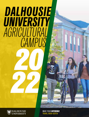# *DALHOUSIE UNIVERSITY AGRICULTURAL CAMPUS 20*



*22*

TRURO, NOVA SCOTIA MAKE YOUR *DIFFERENCE*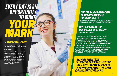# *EVERY DAY IS AN OPPORTUNITY TO MAKE YOUR MARK*

### *YOU BELONG AT DALHOUSIE*

Climate change. Food security. Clean water. You'll discover new solutions to the biggest issues of our time at Dalhousie's Faculty of Agriculture.

Get your hands dirty, test ideas and make industry connections. Here the whole campus is your classroom, and you'll graduate with the skills and confidence to make a lasting impact on the health of our planet, while addressing the global challenges targeted by the United Nation's Sustainable Development Goals.

### *THE TOP RANKED UNIVERSITY IN ATLANTIC CANADA & TOP 300 GLOBALLY*

*(ACADEMIC RANKING OF WORLD UNIVERSITIES, TIMES HIGHER EDUCATION WORLD UNIVERSITY RANKINGS AND QS WORLD UNIVERSITY RANKINGS)*

### *TOP 10 IN CANADA FOR AGRICULTURE AND FORESTRY (QS WORLD UNIVERSITY RANKINGS)*

*851 TOTAL STUDENTS // 21% INTERNATIONAL STUDENTS // \$500,000+ IN DONOR-SUPPORTED SCHOLARSHIPS AND BURSARIES AWARDED EACH YEAR // \$9 MILLION IN FUNDED RESEARCH EACH YEAR // INTERNSHIPS, EXCHANGES AND FIELD COURSES IN ETHOPIA, SOUTH AFRICA AND THE NETHERLANDS // JOINT ACADEMIC PARTNERSHIPS WITH UNIVERSITIES IN CHINA, INDIA AND THE NETHERLANDS // AN INDIGENOUS PATHWAY PROGRAM FOR FIRST NATIONS, MÉTIS AND INUIT STUDENTS*

*A GROWING FIELD: BY 2025, THE AGRICULTURE SECTOR IS EXPECTED TO HAVE NEARLY 114,000 MORE JOBS THAN THE DOMESTIC LABOUR FORCE CAN SUPPLY (CANADA'S AGRICULTURE SECTOR)*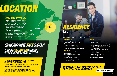# *LOCATION*

## *TRURO (WE'KWAMPETITK)*

Located in central Nova Scotia an hour from Dalhousie's Halifax campuses, Truro offers you the best of both worlds: a small-town experience with a wide variety of recreational and community activities. It's home to a vibrant downtown with a range of activities, shops and experiences. A short walk from campus, you'll find comfy study nooks in local cafés and a range of restaurants including sushi and wood-fired pizza. You'll never feel far from nature with Victoria Park's trails and waterfalls nearby.



### *DALHOUSIE UNIVERSITY IS LOCATED IN MI'KMA'KI, THE ANCESTRAL AND UNCEDED TERRITORY OF THE MI'KMAQ. WE ARE ALL TREATY PEOPLE.*

*WE RECOGNIZE AFRICAN NOVA SCOTIANS ARE A DISTINCT PEOPLE WHOSE HISTORIES, LEGACIES AND CONTRIBUTIONS HAVE ENRICHED MI'KMA'KI FOR OVER 400 YEARS.*

### *VISIT THE TRURO FARMERS' MARKET ON SATURDAY MORNING FOR GREAT FOOD, PRODUCE AND LIVE MUSIC.*

*EXPLORE THE AREA'S NATURE AND WILDLIFE WHILE WALKING, HIKING, CYCLING, SKIING OR SNOWSHOEING THE COBEQUID TRAIL.*

### *DOWNTOWN TRURO HOSTS GREAT EVENTS EACH YEAR— FROM FESTIVALS TO LIVE CONCERTS, MOVIE NIGHTS AND MORE.*

# *RESIDENCE LIFE*

Safe, secure, and located in the heart of our campus, your home away from home is steps away from everywhere on campus you need to be.

### *THE RESIDENCES*

• New from high school students are guaranteed a place in residence if you apply by May 15.

- 3 residences to choose from: Trueman, Fraser and Chapman.
- 47% of our rooms are single occupancy.

### *THE LIFESTYLE*

- Support and mentorship from residence life staff.
- Dedicated high-speed Wi-Fi and streaming entertainment service.
- Safe and secure buildings.
- Lots of unique places to study, get outside or relax.

### *THE FOOD*

- An unlimited meal plan is included with residence.
- Our self-serve kitchen feature allows you to make your favourite comfort foods.
- Our Chef's Garden provides food used in the meal hall.
- Enjoy locally sourced, halal, vegan, vegetarian, gluten-free and dairy-free options at every meal.

Living off campus? Learn more about living in Truro by visiting **dal.ca/offcampushousing**.

## *EXPERIENCE RESIDENCE THROUGH OUR VIDEO TOURS AT DAL.CA/CAMPUSTOURS. dal.ca/residence*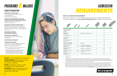

### *FACULTY OF AGRICULTURE*

**BACHELOR OF AGRICULTURE**  *(With Aeres University of Applied Sciences in the Netherlands)* International Food Business

**BACHELOR OF ENGINEERING (FIRST TWO YEARS IN TRURO)/DIPLOMA IN ENGINEERING** *(Fulfils the first two years of a degree program in Engineering)* 

#### **BACHELOR OF SCIENCE (AGRICULTURE)**

Agricultural Business • Agricultural Economics • Animal Science • Aquaculture • Environmental Sciences • Integrated Environmental Management • Plant Science

#### **BACHELOR OF SCIENCE - BIOVETERINARY SCIENCE**

**BACHELOR OF TECHNOLOGY**  Landscape Architecture • Small Business Management 1

#### **PRE-VETERINARY MEDICINE 2**

#### **TECHNOLOGY DIPLOMAS**

Veterinary Technology • Managed Landscapes • Plant Science • Business Management (Agriculture and Dairy Farming)

- 1. Requires completion of a two-year technical diploma from a recognized college or university.
- 2. Preparatory studies that will provide you with the courses required to apply to any Doctor of Veterinary Medicine (DVM) program in Canada. Typically associated with a Bachelor of Science (Agriculture) and Bachelor of Science - Bioveterinary Science.

#### **FACULTY:** A unit of related academic departments.

**DEGREE PROGRAM:** A defined course of study that leads to an academic qualification (e.g., Bachelor of Science).

**MAJOR:** A defined topic of study or subject concentration within a degree program .

**INTERNSHIP:** A short-term experience in which you receive training and can build skills in a specific field or career area.





# *PROGRAMS& MAJORS ADMISSION REQUIREMENTS*

**ADDITIONAL** 

#### *GRADE 12 OR EQUIVALENT REQUIREMENTS*

Admission to programs is often competitive; meeting the minimum averages noted below does not guarantee admission. Visit **dal.ca/highschoolrequirements** for specific course requirements.





**MATH** 

| MINIMUM        | Contractor of Street |
|----------------|----------------------|
| <b>ONIFERE</b> |                      |
|                |                      |

| <b>Bachelor of Agriculture</b><br>- International Food<br><b>Business</b> | ✓            | $J^*$        |                                                                | $+3$ | 75% |   |
|---------------------------------------------------------------------------|--------------|--------------|----------------------------------------------------------------|------|-----|---|
| Bachelor of<br>Engineering***                                             | ✓            | $J^*$        | Chemistry 12 and Physics 12***                                 | $+1$ | 70% |   |
| BSc. (Agriculture)*****                                                   | ✓            | $J^*$        |                                                                | $+3$ | 75% |   |
| Pre-Veterinary<br>Medicine****                                            | ✓            | $J^*$        |                                                                | $+3$ | 75% |   |
| BSc. - Bioveterinary<br>Science****                                       | ✓            | $J^*$        |                                                                | $+3$ | 75% |   |
| Bachelor of Technology -<br>Landscape Architecture                        | ✓            | $\checkmark$ | Biology 11                                                     | $+3$ | 70% | J |
| Diploma in Business<br>Management                                         | ✓            | Math 11      | Science 10 and Biology 11 or<br>Chemistry 11 or Agriculture 11 | $+4$ | 60% | J |
| Diploma in Managed<br>Landscapes                                          | ✓            | $\checkmark$ | Biology 12 and Chemistry 11                                    | $+2$ | 60% |   |
| Diploma in Plant Science<br>Technology                                    | $\checkmark$ | Math 11      | Chemistry 11 and Biology 10<br>or Science 10                   | $+4$ | 60% | ✓ |
| Diploma in Veterinary<br>Technology                                       | ✓            | $\checkmark$ | Biology 12 and Chemistry 12                                    | $+1$ | 60% |   |

Academic Math.

Pre-Calculus.

The Faculty of Agriculture Engineering Diploma program constitutes the first two years of the Bachelor of Engineering Degree. Subsequent years are completed at Dalhousie's Sexton Campus in Halifax. Applicants of the Bachelor of Engineering (Diploma) who do not have the appropriate Physics, Chemistry and/or Math classes may be admitted with the requirement that they take the relevant non-credit introductory class(es) prior to registering in the degree-level class(es).

Students applying to the Bachelor of Science (Agriculture), Bachelor of Science – Bioveterinary Science or Pre-Veterinary Medicine programs in the Faculty of Architecture who do not have the appropriate Math class may be admitted with the requirement that they take non-credit preparatory Math prior to registering in the degree-level class. The Faculty of Agriculture Bachelor of Science – Bioveterinary Science and Pre-Veterinary Medicine programs provide students with the preparatory courses required to apply to any Doctor of Veterinary Medicine (DVM) program in Canada. Visit **dal.ca/admissions** for specific supplemental requirements.

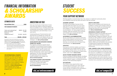# *FINANCIAL INFORMATION & SCHOLARSHIP AWARDS*

**Fall and Winter Term CAD\$** 

### *ESTIMATED COSTS*

| <b>Fall and Winter Term</b> |  |
|-----------------------------|--|
| FOR CANADIAN STUDENTS       |  |

| Total                        | $$22,021 - $27,014$ |
|------------------------------|---------------------|
| (lodging and food) $**$      | $$11.262 - $13.479$ |
| Residence                    |                     |
| Books and supplies           | \$1,800             |
| Tuition and incidental fees* | $$8,959 - $11,735$  |

Estimates for tuition and incidental fees are based on approved rates for 2021/22 as information only and are subject to increase in future years. Please refer to the Fee Calculator found at **dal.ca/feecalculator** for estimates for your specific program and choice of residence.

- Nova Scotia students may be eligible for a bursary from the Province of Nova Scotia of \$1,283. Bursary amount is based on a full course load each term.
- \*\* Costs will vary depending on room type and meal plan selected.

### *FOR INTERNATIONAL STUDENTS*

Estimates for tuition and fees are based on approved rates for 2021/22 and subject to change. For a detailed estimate of current tuition costs and fees, based on your academic program of interest, use the Tuition Fee Calculator at **dal.ca/feecalculator**. Tuition and fees have not yet been established for the 2022/23 academic year.

### *INVESTING IN YOU*

Each year the Faculty of Agriculture invests more than \$12 million in financial supports that are available to you, including awards like scholarships and bursaries, student loans, parttime employment, and internships or co-op work terms.

Understanding your financial picture and learning how to manage your money will help you succeed in your degree and your life beyond university. For information, tools and strategies, visit **dal.ca/financialaid**.

### *SCHOLARSHIPS AND BURSARIES RANGING FROM \$750–\$48,000*

The majority of entrance awards require completion of the General Entrance Award application. Faculty of Agriculture students are also eligible for specific awards such as the Dykeview Farms and the Harrison McCain Scholarships, which require separate applications. For more information about the application process and other awards available to you, please visit **dal.ca/entranceawards**.

### *THE CANADA STUDENT LOAN PROGRAM*

Details are specific to your province's or territory's student loan office. For general information, please visit **dal.ca/studentloans**.

### *dal.ca/entranceawards*

## *STUDENT SUCCESS*

### *YOUR SUPPORT NETWORK*

Working together is second nature here. Our campus is a tight-knit community where your professors know you by name and want to see you succeed.

### *ACADEMIC SUPPORT*

Our team at the Student Success Centre will help guide and support you if you have difficulty in a course, have questions about your program, or need to discuss academic accommodation. On Track programming, for example, helps you transition into university and maintain your success through your degree. Visit **dal.ca/ontrack**.

### *ACCESSIBILITY/ACCOMMODATIONS*

We are committed to an inclusive community that includes programs and services to reduce barriers and ensure you can fully access learning, co-curricular and on-campus living environments. Visit **dal.ca/access**.

### *ATHLETICS*

Once you're a full-time student, you'll have a membership to the Langille Athletic Centre, the campus's fitness centre. You can also use your DalCard for free admission to Rams home events. Learn more at **dal.ca/rams**.

### *BLACK STUDENT ADVISING CENTRE*

If you're a student of African descent, the Black Student Advising Centre will provide you with virtual academic support, confidential advising, advocacy, and mentorship programs.

### *GET INVOLVED*

You'll find so many opportunities to get involved here and leave your mark. Be part of our students' association, join a club or society, be part of residence life, participate in intramural sports and so much more.

### *HEALTH & WELLNESS*

Many services, programs and resources are available on campus and virtually to help you take care of your health and well-being and manage the pressures of university life. Visit **dal.ca/studenthealth**.

### *INDIGENOUS STUDENT SUPPORT*

Indigenous students are provided with access to dedicated support, including a campusbased Manager, Indigenous Students, who will provide you with academic advising, advocacy and mentorship. There is a one-year Indigenous Student Access Pathway program for First Nations, Métis and Inuit students that provides an opportunity to benefit from dedicated support while transitioning to a university environment.

### *JOBS, CAREERS & REAL WORK EXPERIENCE*

Agriculture graduates are in high demand and our services and resources can help you make the most of it. In addition to a successful workintegrated learning program, our dedicated team will help you access job postings and provide guidance with career advising, resume review, and interview prep, to help support your transition from university to the working world.

*dal.ca/campuslife*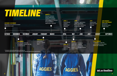

# **AGGIES AGGIES** *8 9*

*dal.ca/deadlines*